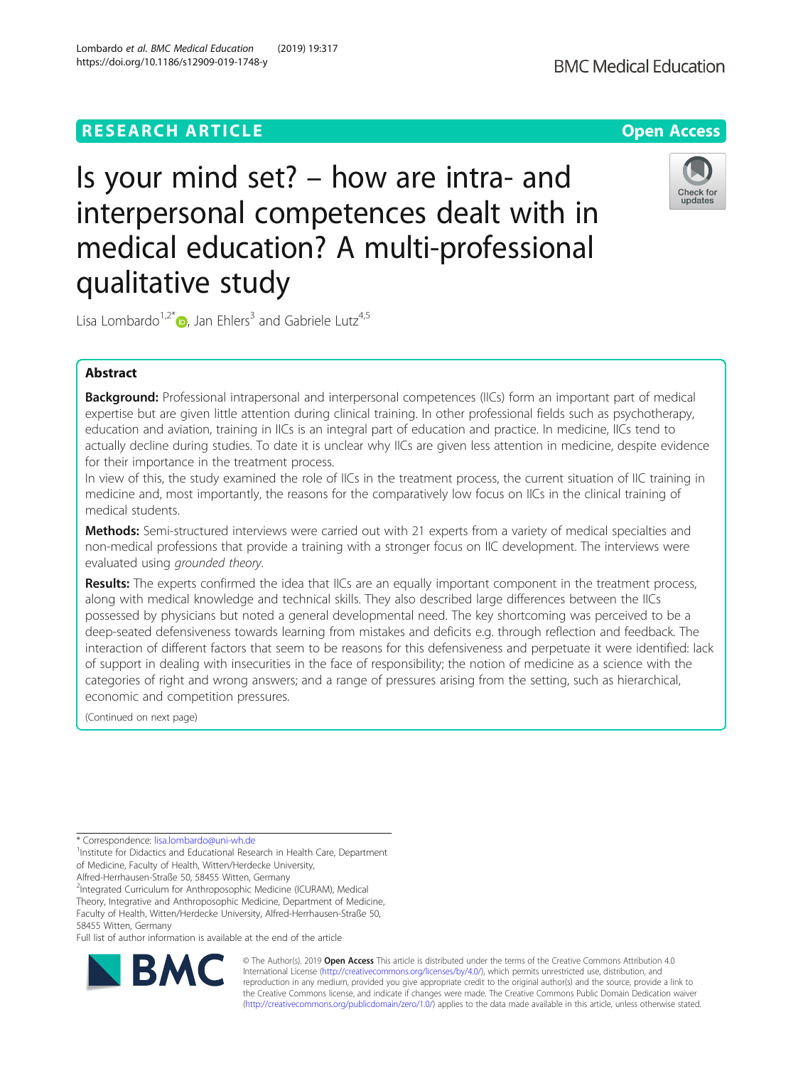# **RESEARCH ARTICLE Example 2014 12:30 The Contract of Contract ACCESS**

# Is your mind set? – how are intra- and interpersonal competences dealt with in medical education? A multi-professional qualitative study

Lisa Lombardo<sup>1,2[\\*](http://orcid.org/0000-0001-5268-8511)</sup>  $\bullet$ , Jan Ehlers<sup>3</sup> and Gabriele Lutz<sup>4,5</sup>

# Abstract

Background: Professional intrapersonal and interpersonal competences (IICs) form an important part of medical expertise but are given little attention during clinical training. In other professional fields such as psychotherapy, education and aviation, training in IICs is an integral part of education and practice. In medicine, IICs tend to actually decline during studies. To date it is unclear why IICs are given less attention in medicine, despite evidence for their importance in the treatment process.

In view of this, the study examined the role of IICs in the treatment process, the current situation of IIC training in medicine and, most importantly, the reasons for the comparatively low focus on IICs in the clinical training of medical students.

Methods: Semi-structured interviews were carried out with 21 experts from a variety of medical specialties and non-medical professions that provide a training with a stronger focus on IIC development. The interviews were evaluated using grounded theory.

Results: The experts confirmed the idea that IICs are an equally important component in the treatment process, along with medical knowledge and technical skills. They also described large differences between the IICs possessed by physicians but noted a general developmental need. The key shortcoming was perceived to be a deep-seated defensiveness towards learning from mistakes and deficits e.g. through reflection and feedback. The interaction of different factors that seem to be reasons for this defensiveness and perpetuate it were identified: lack of support in dealing with insecurities in the face of responsibility; the notion of medicine as a science with the categories of right and wrong answers; and a range of pressures arising from the setting, such as hierarchical, economic and competition pressures.

(Continued on next page)

<sup>1</sup>Institute for Didactics and Educational Research in Health Care, Department of Medicine, Faculty of Health, Witten/Herdecke University,

Alfred-Herrhausen-Straße 50, 58455 Witten, Germany <sup>2</sup>Integrated Curriculum for Anthroposophic Medicine (ICURAM), Medical

Theory, Integrative and Anthroposophic Medicine, Department of Medicine, Faculty of Health, Witten/Herdecke University, Alfred-Herrhausen-Straße 50,

58455 Witten, Germany

Full list of author information is available at the end of the article











© The Author(s). 2019 **Open Access** This article is distributed under the terms of the Creative Commons Attribution 4.0 International License [\(http://creativecommons.org/licenses/by/4.0/](http://creativecommons.org/licenses/by/4.0/)), which permits unrestricted use, distribution, and reproduction in any medium, provided you give appropriate credit to the original author(s) and the source, provide a link to the Creative Commons license, and indicate if changes were made. The Creative Commons Public Domain Dedication waiver [\(http://creativecommons.org/publicdomain/zero/1.0/](http://creativecommons.org/publicdomain/zero/1.0/)) applies to the data made available in this article, unless otherwise stated.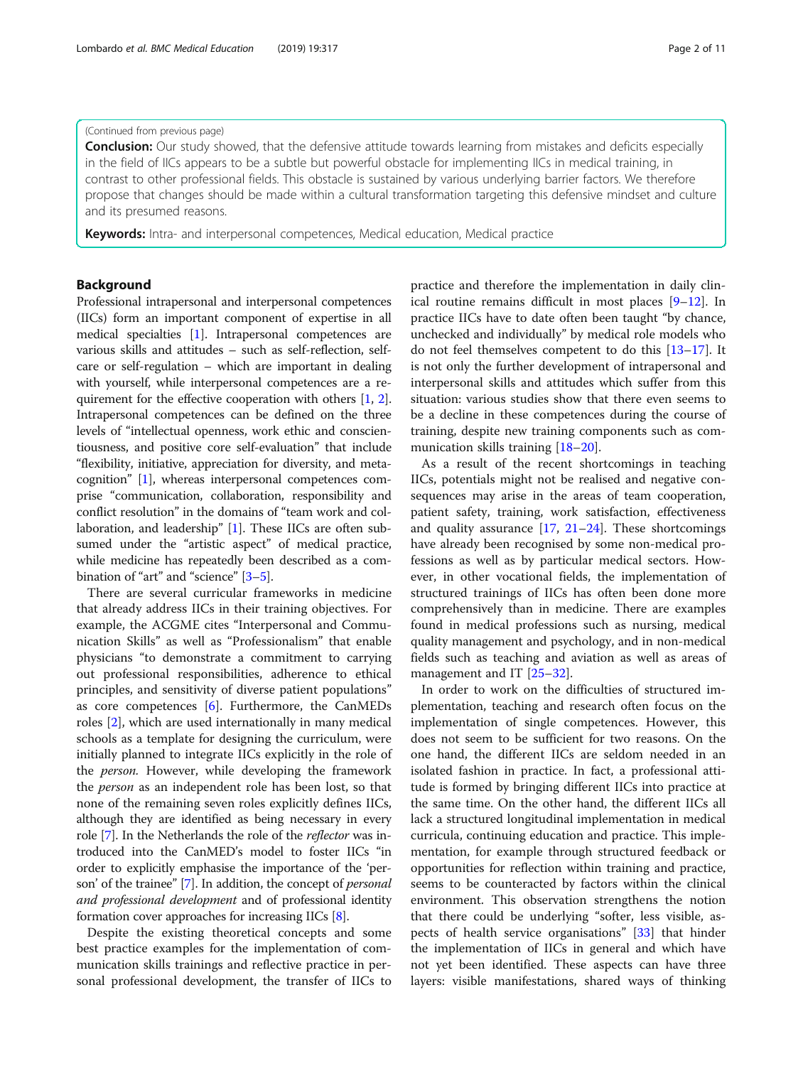### (Continued from previous page)

**Conclusion:** Our study showed, that the defensive attitude towards learning from mistakes and deficits especially in the field of IICs appears to be a subtle but powerful obstacle for implementing IICs in medical training, in contrast to other professional fields. This obstacle is sustained by various underlying barrier factors. We therefore propose that changes should be made within a cultural transformation targeting this defensive mindset and culture and its presumed reasons.

Keywords: Intra- and interpersonal competences, Medical education, Medical practice

# Background

Professional intrapersonal and interpersonal competences (IICs) form an important component of expertise in all medical specialties [[1\]](#page-9-0). Intrapersonal competences are various skills and attitudes – such as self-reflection, selfcare or self-regulation – which are important in dealing with yourself, while interpersonal competences are a requirement for the effective cooperation with others [\[1](#page-9-0), [2](#page-9-0)]. Intrapersonal competences can be defined on the three levels of "intellectual openness, work ethic and conscientiousness, and positive core self-evaluation" that include "flexibility, initiative, appreciation for diversity, and metacognition" [\[1](#page-9-0)], whereas interpersonal competences comprise "communication, collaboration, responsibility and conflict resolution" in the domains of "team work and collaboration, and leadership" [\[1\]](#page-9-0). These IICs are often subsumed under the "artistic aspect" of medical practice, while medicine has repeatedly been described as a combination of "art" and "science" [\[3](#page-9-0)–[5\]](#page-9-0).

There are several curricular frameworks in medicine that already address IICs in their training objectives. For example, the ACGME cites "Interpersonal and Communication Skills" as well as "Professionalism" that enable physicians "to demonstrate a commitment to carrying out professional responsibilities, adherence to ethical principles, and sensitivity of diverse patient populations" as core competences [[6\]](#page-9-0). Furthermore, the CanMEDs roles [\[2](#page-9-0)], which are used internationally in many medical schools as a template for designing the curriculum, were initially planned to integrate IICs explicitly in the role of the person. However, while developing the framework the person as an independent role has been lost, so that none of the remaining seven roles explicitly defines IICs, although they are identified as being necessary in every role [[7\]](#page-9-0). In the Netherlands the role of the reflector was introduced into the CanMED's model to foster IICs "in order to explicitly emphasise the importance of the 'person' of the trainee" [\[7\]](#page-9-0). In addition, the concept of personal and professional development and of professional identity formation cover approaches for increasing IICs [\[8\]](#page-9-0).

Despite the existing theoretical concepts and some best practice examples for the implementation of communication skills trainings and reflective practice in personal professional development, the transfer of IICs to practice and therefore the implementation in daily clinical routine remains difficult in most places [\[9](#page-9-0)–[12](#page-9-0)]. In practice IICs have to date often been taught "by chance, unchecked and individually" by medical role models who do not feel themselves competent to do this [\[13](#page-9-0)–[17](#page-9-0)]. It is not only the further development of intrapersonal and interpersonal skills and attitudes which suffer from this situation: various studies show that there even seems to be a decline in these competences during the course of training, despite new training components such as communication skills training [\[18](#page-9-0)–[20\]](#page-9-0).

As a result of the recent shortcomings in teaching IICs, potentials might not be realised and negative consequences may arise in the areas of team cooperation, patient safety, training, work satisfaction, effectiveness and quality assurance  $[17, 21-24]$  $[17, 21-24]$  $[17, 21-24]$  $[17, 21-24]$  $[17, 21-24]$ . These shortcomings have already been recognised by some non-medical professions as well as by particular medical sectors. However, in other vocational fields, the implementation of structured trainings of IICs has often been done more comprehensively than in medicine. There are examples found in medical professions such as nursing, medical quality management and psychology, and in non-medical fields such as teaching and aviation as well as areas of management and IT [\[25](#page-9-0)–[32\]](#page-9-0).

In order to work on the difficulties of structured implementation, teaching and research often focus on the implementation of single competences. However, this does not seem to be sufficient for two reasons. On the one hand, the different IICs are seldom needed in an isolated fashion in practice. In fact, a professional attitude is formed by bringing different IICs into practice at the same time. On the other hand, the different IICs all lack a structured longitudinal implementation in medical curricula, continuing education and practice. This implementation, for example through structured feedback or opportunities for reflection within training and practice, seems to be counteracted by factors within the clinical environment. This observation strengthens the notion that there could be underlying "softer, less visible, aspects of health service organisations" [[33\]](#page-9-0) that hinder the implementation of IICs in general and which have not yet been identified. These aspects can have three layers: visible manifestations, shared ways of thinking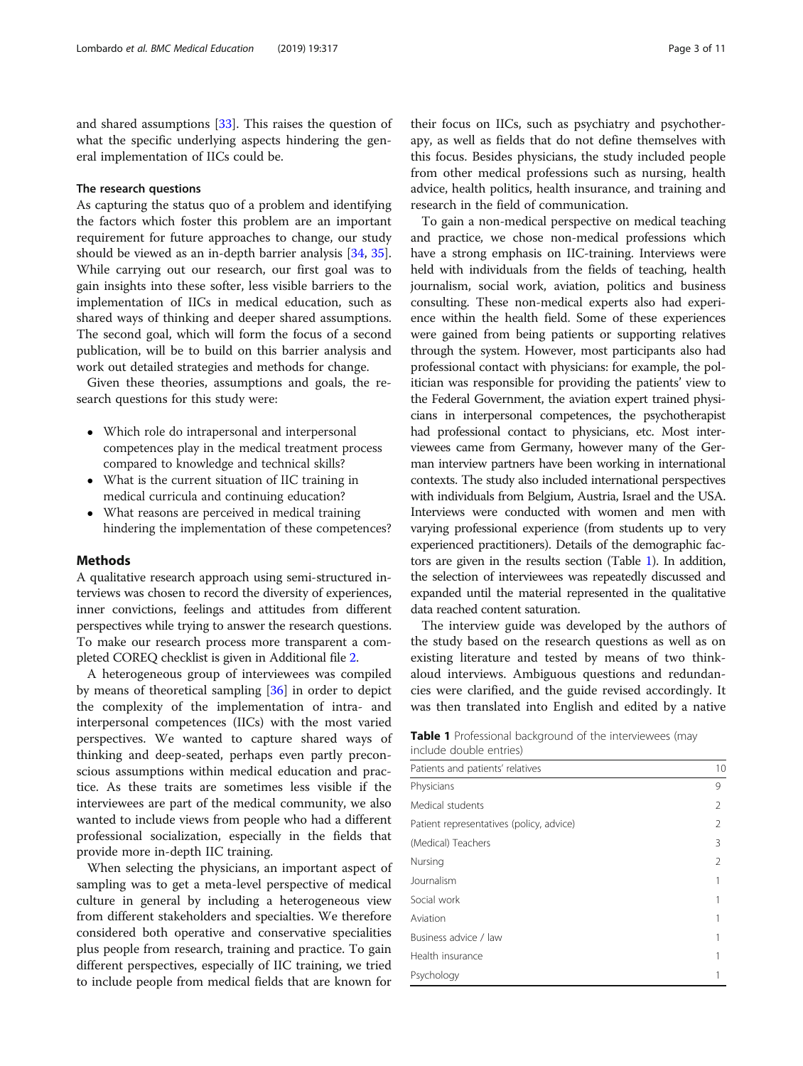<span id="page-2-0"></span>and shared assumptions [\[33](#page-9-0)]. This raises the question of what the specific underlying aspects hindering the general implementation of IICs could be.

# The research questions

As capturing the status quo of a problem and identifying the factors which foster this problem are an important requirement for future approaches to change, our study should be viewed as an in-depth barrier analysis [\[34](#page-9-0), [35](#page-9-0)]. While carrying out our research, our first goal was to gain insights into these softer, less visible barriers to the implementation of IICs in medical education, such as shared ways of thinking and deeper shared assumptions. The second goal, which will form the focus of a second publication, will be to build on this barrier analysis and work out detailed strategies and methods for change.

Given these theories, assumptions and goals, the research questions for this study were:

- Which role do intrapersonal and interpersonal competences play in the medical treatment process compared to knowledge and technical skills?
- What is the current situation of IIC training in medical curricula and continuing education?
- What reasons are perceived in medical training hindering the implementation of these competences?

#### Methods

A qualitative research approach using semi-structured interviews was chosen to record the diversity of experiences, inner convictions, feelings and attitudes from different perspectives while trying to answer the research questions. To make our research process more transparent a completed COREQ checklist is given in Additional file [2](#page-8-0).

A heterogeneous group of interviewees was compiled by means of theoretical sampling [[36](#page-9-0)] in order to depict the complexity of the implementation of intra- and interpersonal competences (IICs) with the most varied perspectives. We wanted to capture shared ways of thinking and deep-seated, perhaps even partly preconscious assumptions within medical education and practice. As these traits are sometimes less visible if the interviewees are part of the medical community, we also wanted to include views from people who had a different professional socialization, especially in the fields that provide more in-depth IIC training.

When selecting the physicians, an important aspect of sampling was to get a meta-level perspective of medical culture in general by including a heterogeneous view from different stakeholders and specialties. We therefore considered both operative and conservative specialities plus people from research, training and practice. To gain different perspectives, especially of IIC training, we tried to include people from medical fields that are known for

their focus on IICs, such as psychiatry and psychotherapy, as well as fields that do not define themselves with this focus. Besides physicians, the study included people from other medical professions such as nursing, health advice, health politics, health insurance, and training and research in the field of communication.

To gain a non-medical perspective on medical teaching and practice, we chose non-medical professions which have a strong emphasis on IIC-training. Interviews were held with individuals from the fields of teaching, health journalism, social work, aviation, politics and business consulting. These non-medical experts also had experience within the health field. Some of these experiences were gained from being patients or supporting relatives through the system. However, most participants also had professional contact with physicians: for example, the politician was responsible for providing the patients' view to the Federal Government, the aviation expert trained physicians in interpersonal competences, the psychotherapist had professional contact to physicians, etc. Most interviewees came from Germany, however many of the German interview partners have been working in international contexts. The study also included international perspectives with individuals from Belgium, Austria, Israel and the USA. Interviews were conducted with women and men with varying professional experience (from students up to very experienced practitioners). Details of the demographic factors are given in the results section (Table 1). In addition, the selection of interviewees was repeatedly discussed and expanded until the material represented in the qualitative data reached content saturation.

The interview guide was developed by the authors of the study based on the research questions as well as on existing literature and tested by means of two thinkaloud interviews. Ambiguous questions and redundancies were clarified, and the guide revised accordingly. It was then translated into English and edited by a native

| Table 1 Professional background of the interviewees (may |  |  |
|----------------------------------------------------------|--|--|
| include double entries)                                  |  |  |

| Patients and patients' relatives         | 10 |
|------------------------------------------|----|
| Physicians                               | 9  |
| Medical students                         | 2  |
| Patient representatives (policy, advice) | 2  |
| (Medical) Teachers                       | 3  |
| Nursing                                  | 2  |
| Journalism                               |    |
| Social work                              |    |
| Aviation                                 |    |
| Business advice / law                    |    |
| Health insurance                         |    |
| Psychology                               |    |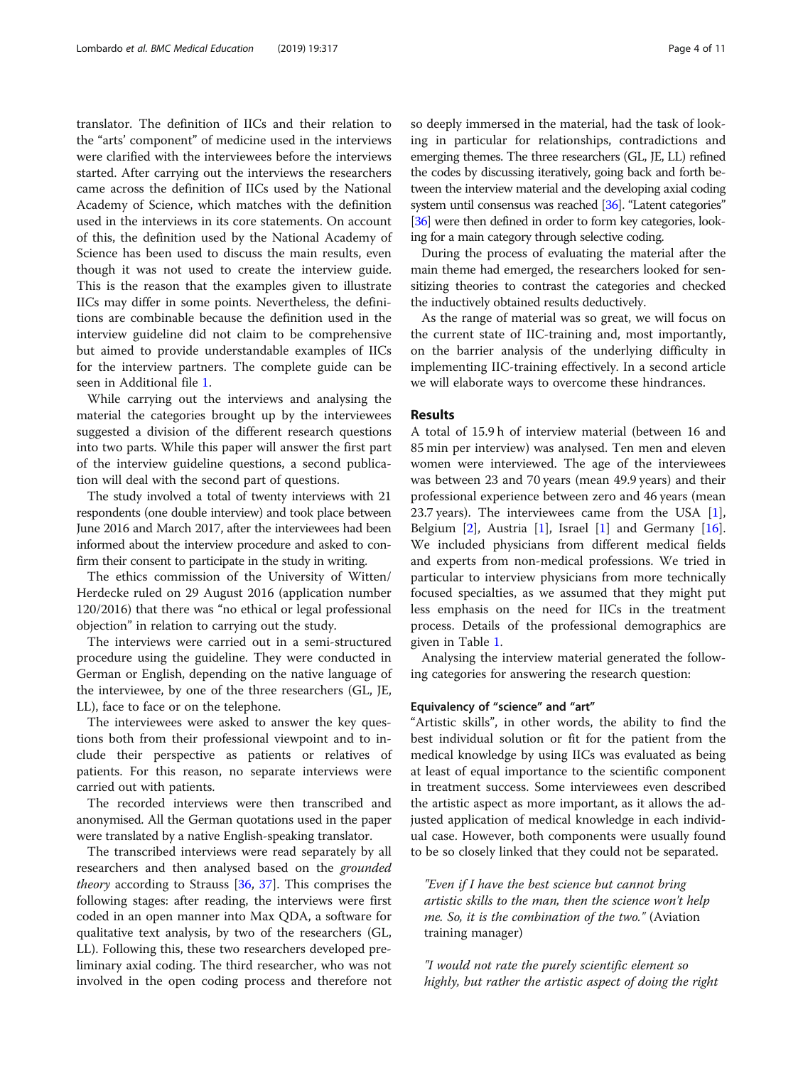translator. The definition of IICs and their relation to the "arts' component" of medicine used in the interviews were clarified with the interviewees before the interviews started. After carrying out the interviews the researchers came across the definition of IICs used by the National Academy of Science, which matches with the definition used in the interviews in its core statements. On account of this, the definition used by the National Academy of Science has been used to discuss the main results, even though it was not used to create the interview guide. This is the reason that the examples given to illustrate IICs may differ in some points. Nevertheless, the definitions are combinable because the definition used in the interview guideline did not claim to be comprehensive but aimed to provide understandable examples of IICs for the interview partners. The complete guide can be seen in Additional file [1.](#page-8-0)

While carrying out the interviews and analysing the material the categories brought up by the interviewees suggested a division of the different research questions into two parts. While this paper will answer the first part of the interview guideline questions, a second publication will deal with the second part of questions.

The study involved a total of twenty interviews with 21 respondents (one double interview) and took place between June 2016 and March 2017, after the interviewees had been informed about the interview procedure and asked to confirm their consent to participate in the study in writing.

The ethics commission of the University of Witten/ Herdecke ruled on 29 August 2016 (application number 120/2016) that there was "no ethical or legal professional objection" in relation to carrying out the study.

The interviews were carried out in a semi-structured procedure using the guideline. They were conducted in German or English, depending on the native language of the interviewee, by one of the three researchers (GL, JE, LL), face to face or on the telephone.

The interviewees were asked to answer the key questions both from their professional viewpoint and to include their perspective as patients or relatives of patients. For this reason, no separate interviews were carried out with patients.

The recorded interviews were then transcribed and anonymised. All the German quotations used in the paper were translated by a native English-speaking translator.

The transcribed interviews were read separately by all researchers and then analysed based on the grounded theory according to Strauss [[36,](#page-9-0) [37](#page-9-0)]. This comprises the following stages: after reading, the interviews were first coded in an open manner into Max QDA, a software for qualitative text analysis, by two of the researchers (GL, LL). Following this, these two researchers developed preliminary axial coding. The third researcher, who was not involved in the open coding process and therefore not so deeply immersed in the material, had the task of looking in particular for relationships, contradictions and emerging themes. The three researchers (GL, JE, LL) refined the codes by discussing iteratively, going back and forth between the interview material and the developing axial coding system until consensus was reached [\[36\]](#page-9-0). "Latent categories" [[36\]](#page-9-0) were then defined in order to form key categories, looking for a main category through selective coding.

During the process of evaluating the material after the main theme had emerged, the researchers looked for sensitizing theories to contrast the categories and checked the inductively obtained results deductively.

As the range of material was so great, we will focus on the current state of IIC-training and, most importantly, on the barrier analysis of the underlying difficulty in implementing IIC-training effectively. In a second article we will elaborate ways to overcome these hindrances.

#### Results

A total of 15.9 h of interview material (between 16 and 85 min per interview) was analysed. Ten men and eleven women were interviewed. The age of the interviewees was between 23 and 70 years (mean 49.9 years) and their professional experience between zero and 46 years (mean 23.7 years). The interviewees came from the USA [\[1](#page-9-0)], Belgium  $[2]$  $[2]$ , Austria  $[1]$  $[1]$ , Israel  $[1]$  $[1]$  and Germany  $[16]$  $[16]$ . We included physicians from different medical fields and experts from non-medical professions. We tried in particular to interview physicians from more technically focused specialties, as we assumed that they might put less emphasis on the need for IICs in the treatment process. Details of the professional demographics are given in Table [1.](#page-2-0)

Analysing the interview material generated the following categories for answering the research question:

#### Equivalency of "science" and "art"

"Artistic skills", in other words, the ability to find the best individual solution or fit for the patient from the medical knowledge by using IICs was evaluated as being at least of equal importance to the scientific component in treatment success. Some interviewees even described the artistic aspect as more important, as it allows the adjusted application of medical knowledge in each individual case. However, both components were usually found to be so closely linked that they could not be separated.

"Even if I have the best science but cannot bring artistic skills to the man, then the science won't help me. So, it is the combination of the two." (Aviation training manager)

"I would not rate the purely scientific element so highly, but rather the artistic aspect of doing the right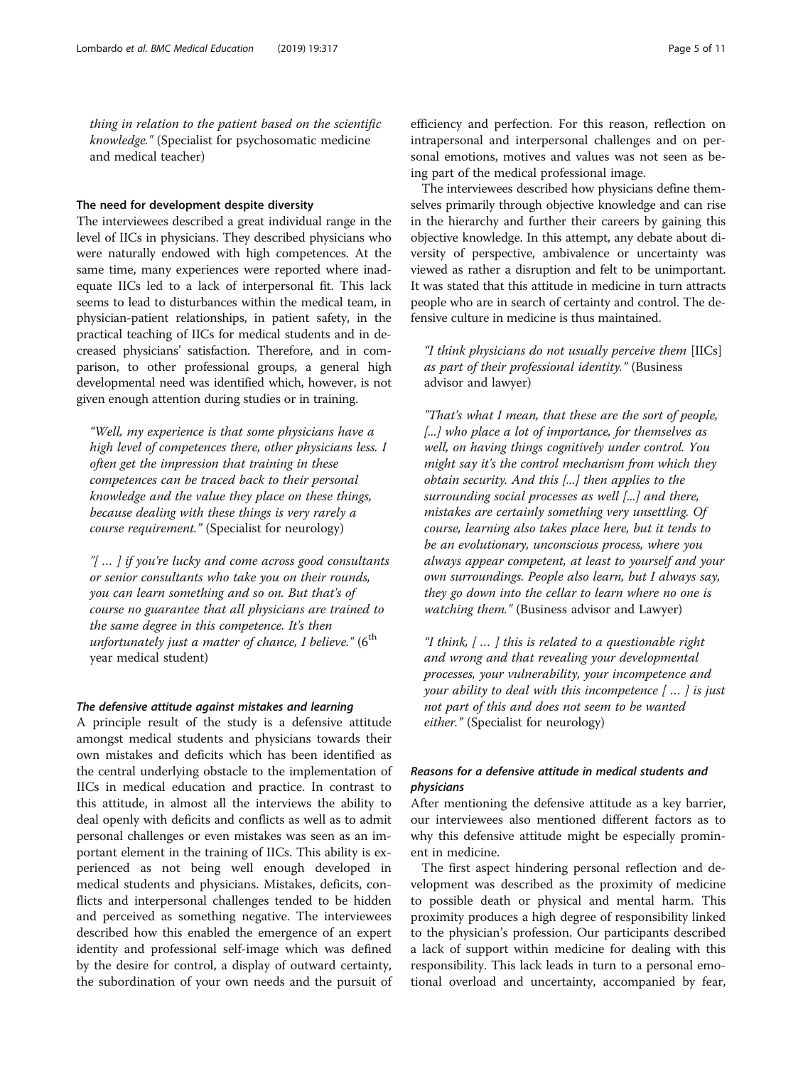thing in relation to the patient based on the scientific knowledge." (Specialist for psychosomatic medicine and medical teacher)

#### The need for development despite diversity

The interviewees described a great individual range in the level of IICs in physicians. They described physicians who were naturally endowed with high competences. At the same time, many experiences were reported where inadequate IICs led to a lack of interpersonal fit. This lack seems to lead to disturbances within the medical team, in physician-patient relationships, in patient safety, in the practical teaching of IICs for medical students and in decreased physicians' satisfaction. Therefore, and in comparison, to other professional groups, a general high developmental need was identified which, however, is not given enough attention during studies or in training.

"Well, my experience is that some physicians have a high level of competences there, other physicians less. I often get the impression that training in these competences can be traced back to their personal knowledge and the value they place on these things, because dealing with these things is very rarely a course requirement." (Specialist for neurology)

"[ … ] if you're lucky and come across good consultants or senior consultants who take you on their rounds, you can learn something and so on. But that's of course no guarantee that all physicians are trained to the same degree in this competence. It's then unfortunately just a matter of chance, I believe."  $(6<sup>th</sup>$ year medical student)

#### The defensive attitude against mistakes and learning

A principle result of the study is a defensive attitude amongst medical students and physicians towards their own mistakes and deficits which has been identified as the central underlying obstacle to the implementation of IICs in medical education and practice. In contrast to this attitude, in almost all the interviews the ability to deal openly with deficits and conflicts as well as to admit personal challenges or even mistakes was seen as an important element in the training of IICs. This ability is experienced as not being well enough developed in medical students and physicians. Mistakes, deficits, conflicts and interpersonal challenges tended to be hidden and perceived as something negative. The interviewees described how this enabled the emergence of an expert identity and professional self-image which was defined by the desire for control, a display of outward certainty, the subordination of your own needs and the pursuit of

efficiency and perfection. For this reason, reflection on intrapersonal and interpersonal challenges and on personal emotions, motives and values was not seen as being part of the medical professional image.

The interviewees described how physicians define themselves primarily through objective knowledge and can rise in the hierarchy and further their careers by gaining this objective knowledge. In this attempt, any debate about diversity of perspective, ambivalence or uncertainty was viewed as rather a disruption and felt to be unimportant. It was stated that this attitude in medicine in turn attracts people who are in search of certainty and control. The defensive culture in medicine is thus maintained.

"I think physicians do not usually perceive them [IICs] as part of their professional identity." (Business advisor and lawyer)

"That's what I mean, that these are the sort of people, [...] who place a lot of importance, for themselves as well, on having things cognitively under control. You might say it's the control mechanism from which they obtain security. And this [...] then applies to the surrounding social processes as well [...] and there, mistakes are certainly something very unsettling. Of course, learning also takes place here, but it tends to be an evolutionary, unconscious process, where you always appear competent, at least to yourself and your own surroundings. People also learn, but I always say, they go down into the cellar to learn where no one is watching them." (Business advisor and Lawyer)

"I think, [ … ] this is related to a questionable right and wrong and that revealing your developmental processes, your vulnerability, your incompetence and your ability to deal with this incompetence [ … ] is just not part of this and does not seem to be wanted either." (Specialist for neurology)

# Reasons for a defensive attitude in medical students and physicians

After mentioning the defensive attitude as a key barrier, our interviewees also mentioned different factors as to why this defensive attitude might be especially prominent in medicine.

The first aspect hindering personal reflection and development was described as the proximity of medicine to possible death or physical and mental harm. This proximity produces a high degree of responsibility linked to the physician's profession. Our participants described a lack of support within medicine for dealing with this responsibility. This lack leads in turn to a personal emotional overload and uncertainty, accompanied by fear,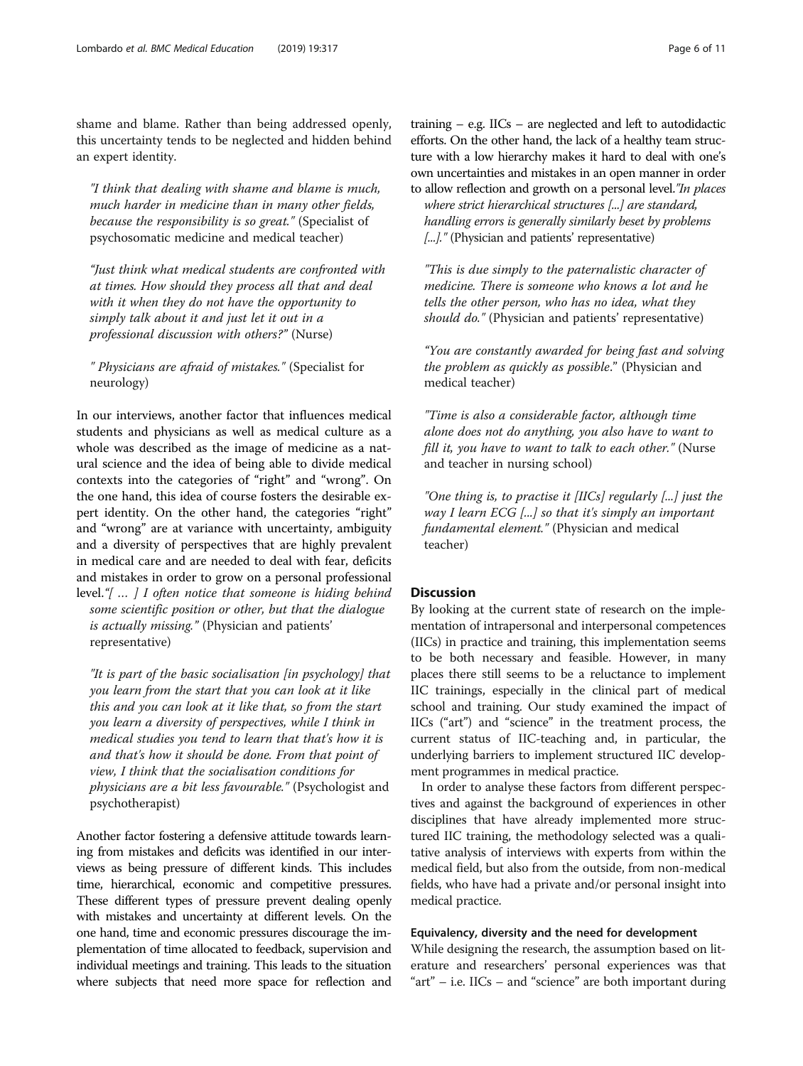shame and blame. Rather than being addressed openly, this uncertainty tends to be neglected and hidden behind an expert identity.

"I think that dealing with shame and blame is much, much harder in medicine than in many other fields, because the responsibility is so great." (Specialist of psychosomatic medicine and medical teacher)

"Just think what medical students are confronted with at times. How should they process all that and deal with it when they do not have the opportunity to simply talk about it and just let it out in a professional discussion with others?" (Nurse)

" Physicians are afraid of mistakes." (Specialist for neurology)

In our interviews, another factor that influences medical students and physicians as well as medical culture as a whole was described as the image of medicine as a natural science and the idea of being able to divide medical contexts into the categories of "right" and "wrong". On the one hand, this idea of course fosters the desirable expert identity. On the other hand, the categories "right" and "wrong" are at variance with uncertainty, ambiguity and a diversity of perspectives that are highly prevalent in medical care and are needed to deal with fear, deficits and mistakes in order to grow on a personal professional level."[ … ] I often notice that someone is hiding behind some scientific position or other, but that the dialogue is actually missing." (Physician and patients' representative)

"It is part of the basic socialisation [in psychology] that you learn from the start that you can look at it like this and you can look at it like that, so from the start you learn a diversity of perspectives, while I think in medical studies you tend to learn that that's how it is and that's how it should be done. From that point of view, I think that the socialisation conditions for physicians are a bit less favourable." (Psychologist and psychotherapist)

Another factor fostering a defensive attitude towards learning from mistakes and deficits was identified in our interviews as being pressure of different kinds. This includes time, hierarchical, economic and competitive pressures. These different types of pressure prevent dealing openly with mistakes and uncertainty at different levels. On the one hand, time and economic pressures discourage the implementation of time allocated to feedback, supervision and individual meetings and training. This leads to the situation where subjects that need more space for reflection and training  $-$  e.g. IICs  $-$  are neglected and left to autodidactic efforts. On the other hand, the lack of a healthy team structure with a low hierarchy makes it hard to deal with one's own uncertainties and mistakes in an open manner in order to allow reflection and growth on a personal level."In places

where strict hierarchical structures [...] are standard, handling errors is generally similarly beset by problems [...]." (Physician and patients' representative)

"This is due simply to the paternalistic character of medicine. There is someone who knows a lot and he tells the other person, who has no idea, what they should do." (Physician and patients' representative)

"You are constantly awarded for being fast and solving the problem as quickly as possible." (Physician and medical teacher)

"Time is also a considerable factor, although time alone does not do anything, you also have to want to fill it, you have to want to talk to each other." (Nurse and teacher in nursing school)

"One thing is, to practise it  $[IICs]$  regularly  $[...]$  just the way I learn ECG [...] so that it's simply an important fundamental element." (Physician and medical teacher)

#### **Discussion**

By looking at the current state of research on the implementation of intrapersonal and interpersonal competences (IICs) in practice and training, this implementation seems to be both necessary and feasible. However, in many places there still seems to be a reluctance to implement IIC trainings, especially in the clinical part of medical school and training. Our study examined the impact of IICs ("art") and "science" in the treatment process, the current status of IIC-teaching and, in particular, the underlying barriers to implement structured IIC development programmes in medical practice.

In order to analyse these factors from different perspectives and against the background of experiences in other disciplines that have already implemented more structured IIC training, the methodology selected was a qualitative analysis of interviews with experts from within the medical field, but also from the outside, from non-medical fields, who have had a private and/or personal insight into medical practice.

## Equivalency, diversity and the need for development

While designing the research, the assumption based on literature and researchers' personal experiences was that "art" – i.e. IICs – and "science" are both important during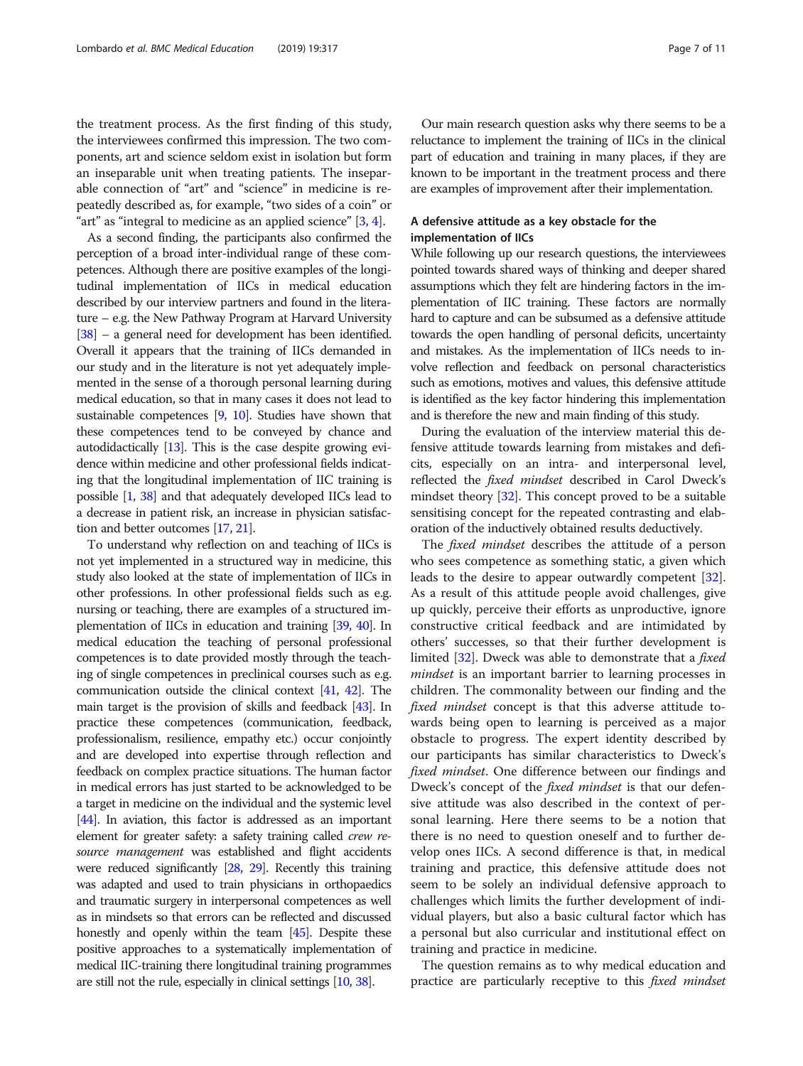the treatment process. As the first finding of this study, the interviewees confirmed this impression. The two components, art and science seldom exist in isolation but form an inseparable unit when treating patients. The inseparable connection of "art" and "science" in medicine is repeatedly described as, for example, "two sides of a coin" or "art" as "integral to medicine as an applied science" [\[3](#page-9-0), [4\]](#page-9-0).

As a second finding, the participants also confirmed the perception of a broad inter-individual range of these competences. Although there are positive examples of the longitudinal implementation of IICs in medical education described by our interview partners and found in the literature – e.g. the New Pathway Program at Harvard University [[38](#page-9-0)] – a general need for development has been identified. Overall it appears that the training of IICs demanded in our study and in the literature is not yet adequately implemented in the sense of a thorough personal learning during medical education, so that in many cases it does not lead to sustainable competences [[9](#page-9-0), [10\]](#page-9-0). Studies have shown that these competences tend to be conveyed by chance and autodidactically [\[13\]](#page-9-0). This is the case despite growing evidence within medicine and other professional fields indicating that the longitudinal implementation of IIC training is possible [\[1,](#page-9-0) [38](#page-9-0)] and that adequately developed IICs lead to a decrease in patient risk, an increase in physician satisfaction and better outcomes [\[17](#page-9-0), [21](#page-9-0)].

To understand why reflection on and teaching of IICs is not yet implemented in a structured way in medicine, this study also looked at the state of implementation of IICs in other professions. In other professional fields such as e.g. nursing or teaching, there are examples of a structured implementation of IICs in education and training [[39,](#page-9-0) [40\]](#page-9-0). In medical education the teaching of personal professional competences is to date provided mostly through the teaching of single competences in preclinical courses such as e.g. communication outside the clinical context [\[41,](#page-9-0) [42](#page-9-0)]. The main target is the provision of skills and feedback [\[43](#page-9-0)]. In practice these competences (communication, feedback, professionalism, resilience, empathy etc.) occur conjointly and are developed into expertise through reflection and feedback on complex practice situations. The human factor in medical errors has just started to be acknowledged to be a target in medicine on the individual and the systemic level [[44](#page-9-0)]. In aviation, this factor is addressed as an important element for greater safety: a safety training called crew resource management was established and flight accidents were reduced significantly [\[28](#page-9-0), [29](#page-9-0)]. Recently this training was adapted and used to train physicians in orthopaedics and traumatic surgery in interpersonal competences as well as in mindsets so that errors can be reflected and discussed honestly and openly within the team [\[45\]](#page-10-0). Despite these positive approaches to a systematically implementation of medical IIC-training there longitudinal training programmes are still not the rule, especially in clinical settings [\[10](#page-9-0), [38](#page-9-0)].

Our main research question asks why there seems to be a reluctance to implement the training of IICs in the clinical part of education and training in many places, if they are known to be important in the treatment process and there are examples of improvement after their implementation.

# A defensive attitude as a key obstacle for the implementation of IICs

While following up our research questions, the interviewees pointed towards shared ways of thinking and deeper shared assumptions which they felt are hindering factors in the implementation of IIC training. These factors are normally hard to capture and can be subsumed as a defensive attitude towards the open handling of personal deficits, uncertainty and mistakes. As the implementation of IICs needs to involve reflection and feedback on personal characteristics such as emotions, motives and values, this defensive attitude is identified as the key factor hindering this implementation and is therefore the new and main finding of this study.

During the evaluation of the interview material this defensive attitude towards learning from mistakes and deficits, especially on an intra- and interpersonal level, reflected the fixed mindset described in Carol Dweck's mindset theory [[32\]](#page-9-0). This concept proved to be a suitable sensitising concept for the repeated contrasting and elaboration of the inductively obtained results deductively.

The *fixed mindset* describes the attitude of a person who sees competence as something static, a given which leads to the desire to appear outwardly competent [\[32](#page-9-0)]. As a result of this attitude people avoid challenges, give up quickly, perceive their efforts as unproductive, ignore constructive critical feedback and are intimidated by others' successes, so that their further development is limited [[32\]](#page-9-0). Dweck was able to demonstrate that a fixed mindset is an important barrier to learning processes in children. The commonality between our finding and the fixed mindset concept is that this adverse attitude towards being open to learning is perceived as a major obstacle to progress. The expert identity described by our participants has similar characteristics to Dweck's fixed mindset. One difference between our findings and Dweck's concept of the fixed mindset is that our defensive attitude was also described in the context of personal learning. Here there seems to be a notion that there is no need to question oneself and to further develop ones IICs. A second difference is that, in medical training and practice, this defensive attitude does not seem to be solely an individual defensive approach to challenges which limits the further development of individual players, but also a basic cultural factor which has a personal but also curricular and institutional effect on training and practice in medicine.

The question remains as to why medical education and practice are particularly receptive to this *fixed mindset*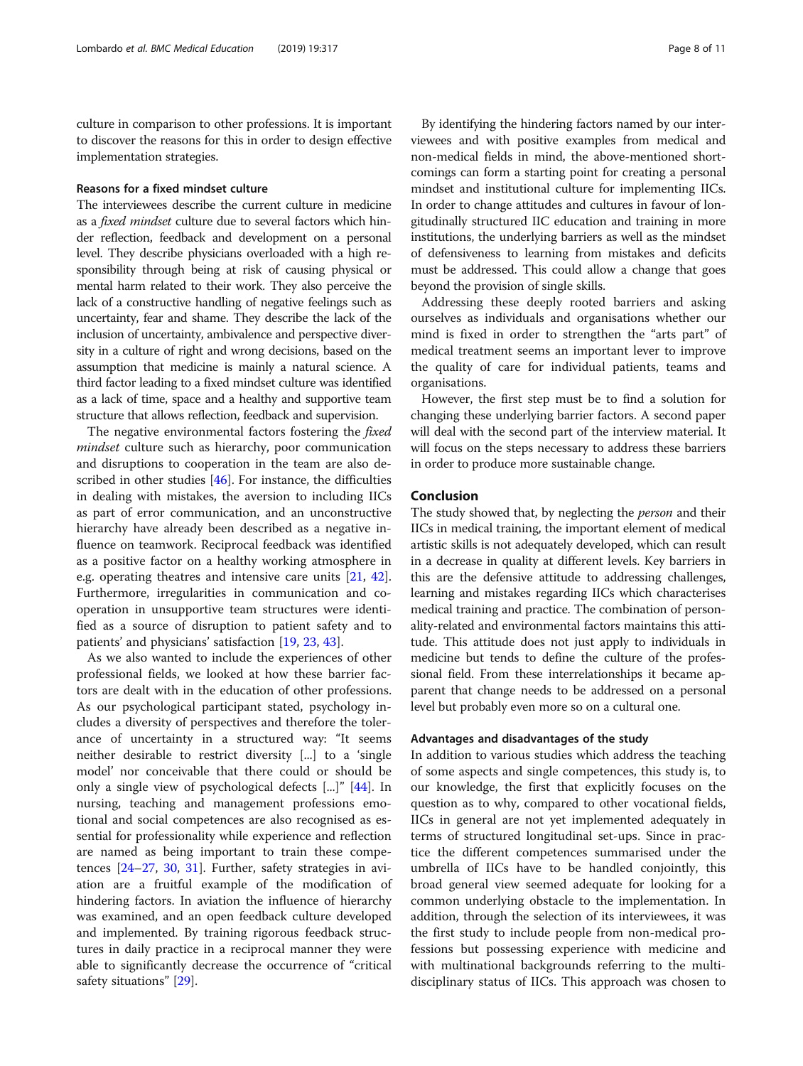culture in comparison to other professions. It is important to discover the reasons for this in order to design effective implementation strategies.

### Reasons for a fixed mindset culture

The interviewees describe the current culture in medicine as a fixed mindset culture due to several factors which hinder reflection, feedback and development on a personal level. They describe physicians overloaded with a high responsibility through being at risk of causing physical or mental harm related to their work. They also perceive the lack of a constructive handling of negative feelings such as uncertainty, fear and shame. They describe the lack of the inclusion of uncertainty, ambivalence and perspective diversity in a culture of right and wrong decisions, based on the assumption that medicine is mainly a natural science. A third factor leading to a fixed mindset culture was identified as a lack of time, space and a healthy and supportive team structure that allows reflection, feedback and supervision.

The negative environmental factors fostering the *fixed* mindset culture such as hierarchy, poor communication and disruptions to cooperation in the team are also de-scribed in other studies [[46\]](#page-10-0). For instance, the difficulties in dealing with mistakes, the aversion to including IICs as part of error communication, and an unconstructive hierarchy have already been described as a negative influence on teamwork. Reciprocal feedback was identified as a positive factor on a healthy working atmosphere in e.g. operating theatres and intensive care units [[21](#page-9-0), [42](#page-9-0)]. Furthermore, irregularities in communication and cooperation in unsupportive team structures were identified as a source of disruption to patient safety and to patients' and physicians' satisfaction [\[19,](#page-9-0) [23,](#page-9-0) [43\]](#page-9-0).

As we also wanted to include the experiences of other professional fields, we looked at how these barrier factors are dealt with in the education of other professions. As our psychological participant stated, psychology includes a diversity of perspectives and therefore the tolerance of uncertainty in a structured way: "It seems neither desirable to restrict diversity [...] to a 'single model' nor conceivable that there could or should be only a single view of psychological defects [...]" [[44\]](#page-9-0). In nursing, teaching and management professions emotional and social competences are also recognised as essential for professionality while experience and reflection are named as being important to train these competences [[24](#page-9-0)–[27](#page-9-0), [30](#page-9-0), [31](#page-9-0)]. Further, safety strategies in aviation are a fruitful example of the modification of hindering factors. In aviation the influence of hierarchy was examined, and an open feedback culture developed and implemented. By training rigorous feedback structures in daily practice in a reciprocal manner they were able to significantly decrease the occurrence of "critical safety situations" [[29](#page-9-0)].

By identifying the hindering factors named by our interviewees and with positive examples from medical and non-medical fields in mind, the above-mentioned shortcomings can form a starting point for creating a personal mindset and institutional culture for implementing IICs. In order to change attitudes and cultures in favour of longitudinally structured IIC education and training in more institutions, the underlying barriers as well as the mindset of defensiveness to learning from mistakes and deficits must be addressed. This could allow a change that goes beyond the provision of single skills.

Addressing these deeply rooted barriers and asking ourselves as individuals and organisations whether our mind is fixed in order to strengthen the "arts part" of medical treatment seems an important lever to improve the quality of care for individual patients, teams and organisations.

However, the first step must be to find a solution for changing these underlying barrier factors. A second paper will deal with the second part of the interview material. It will focus on the steps necessary to address these barriers in order to produce more sustainable change.

# Conclusion

The study showed that, by neglecting the *person* and their IICs in medical training, the important element of medical artistic skills is not adequately developed, which can result in a decrease in quality at different levels. Key barriers in this are the defensive attitude to addressing challenges, learning and mistakes regarding IICs which characterises medical training and practice. The combination of personality-related and environmental factors maintains this attitude. This attitude does not just apply to individuals in medicine but tends to define the culture of the professional field. From these interrelationships it became apparent that change needs to be addressed on a personal level but probably even more so on a cultural one.

#### Advantages and disadvantages of the study

In addition to various studies which address the teaching of some aspects and single competences, this study is, to our knowledge, the first that explicitly focuses on the question as to why, compared to other vocational fields, IICs in general are not yet implemented adequately in terms of structured longitudinal set-ups. Since in practice the different competences summarised under the umbrella of IICs have to be handled conjointly, this broad general view seemed adequate for looking for a common underlying obstacle to the implementation. In addition, through the selection of its interviewees, it was the first study to include people from non-medical professions but possessing experience with medicine and with multinational backgrounds referring to the multidisciplinary status of IICs. This approach was chosen to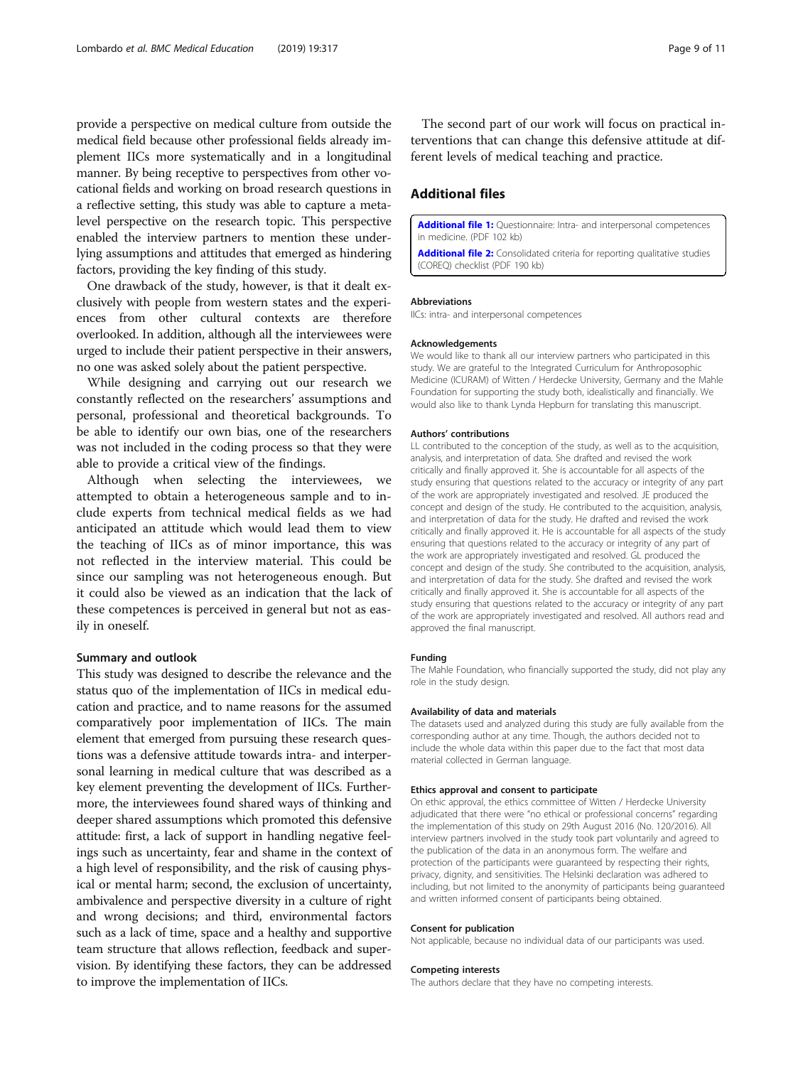<span id="page-8-0"></span>provide a perspective on medical culture from outside the medical field because other professional fields already implement IICs more systematically and in a longitudinal manner. By being receptive to perspectives from other vocational fields and working on broad research questions in a reflective setting, this study was able to capture a metalevel perspective on the research topic. This perspective enabled the interview partners to mention these underlying assumptions and attitudes that emerged as hindering factors, providing the key finding of this study.

One drawback of the study, however, is that it dealt exclusively with people from western states and the experiences from other cultural contexts are therefore overlooked. In addition, although all the interviewees were urged to include their patient perspective in their answers, no one was asked solely about the patient perspective.

While designing and carrying out our research we constantly reflected on the researchers' assumptions and personal, professional and theoretical backgrounds. To be able to identify our own bias, one of the researchers was not included in the coding process so that they were able to provide a critical view of the findings.

Although when selecting the interviewees, we attempted to obtain a heterogeneous sample and to include experts from technical medical fields as we had anticipated an attitude which would lead them to view the teaching of IICs as of minor importance, this was not reflected in the interview material. This could be since our sampling was not heterogeneous enough. But it could also be viewed as an indication that the lack of these competences is perceived in general but not as easily in oneself.

#### Summary and outlook

This study was designed to describe the relevance and the status quo of the implementation of IICs in medical education and practice, and to name reasons for the assumed comparatively poor implementation of IICs. The main element that emerged from pursuing these research questions was a defensive attitude towards intra- and interpersonal learning in medical culture that was described as a key element preventing the development of IICs. Furthermore, the interviewees found shared ways of thinking and deeper shared assumptions which promoted this defensive attitude: first, a lack of support in handling negative feelings such as uncertainty, fear and shame in the context of a high level of responsibility, and the risk of causing physical or mental harm; second, the exclusion of uncertainty, ambivalence and perspective diversity in a culture of right and wrong decisions; and third, environmental factors such as a lack of time, space and a healthy and supportive team structure that allows reflection, feedback and supervision. By identifying these factors, they can be addressed to improve the implementation of IICs.

The second part of our work will focus on practical interventions that can change this defensive attitude at different levels of medical teaching and practice.

## Additional files

[Additional file 1:](https://doi.org/10.1186/s12909-019-1748-y) Questionnaire: Intra- and interpersonal competences in medicine. (PDF 102 kb)

[Additional file 2:](https://doi.org/10.1186/s12909-019-1748-y) Consolidated criteria for reporting qualitative studies (COREQ) checklist (PDF 190 kb)

#### Abbreviations

IICs: intra- and interpersonal competences

#### Acknowledgements

We would like to thank all our interview partners who participated in this study. We are grateful to the Integrated Curriculum for Anthroposophic Medicine (ICURAM) of Witten / Herdecke University, Germany and the Mahle Foundation for supporting the study both, idealistically and financially. We would also like to thank Lynda Hepburn for translating this manuscript.

#### Authors' contributions

LL contributed to the conception of the study, as well as to the acquisition, analysis, and interpretation of data. She drafted and revised the work critically and finally approved it. She is accountable for all aspects of the study ensuring that questions related to the accuracy or integrity of any part of the work are appropriately investigated and resolved. JE produced the concept and design of the study. He contributed to the acquisition, analysis, and interpretation of data for the study. He drafted and revised the work critically and finally approved it. He is accountable for all aspects of the study ensuring that questions related to the accuracy or integrity of any part of the work are appropriately investigated and resolved. GL produced the concept and design of the study. She contributed to the acquisition, analysis, and interpretation of data for the study. She drafted and revised the work critically and finally approved it. She is accountable for all aspects of the study ensuring that questions related to the accuracy or integrity of any part of the work are appropriately investigated and resolved. All authors read and approved the final manuscript.

#### Funding

The Mahle Foundation, who financially supported the study, did not play any role in the study design.

#### Availability of data and materials

The datasets used and analyzed during this study are fully available from the corresponding author at any time. Though, the authors decided not to include the whole data within this paper due to the fact that most data material collected in German language.

#### Ethics approval and consent to participate

On ethic approval, the ethics committee of Witten / Herdecke University adjudicated that there were "no ethical or professional concerns" regarding the implementation of this study on 29th August 2016 (No. 120/2016). All interview partners involved in the study took part voluntarily and agreed to the publication of the data in an anonymous form. The welfare and protection of the participants were guaranteed by respecting their rights, privacy, dignity, and sensitivities. The Helsinki declaration was adhered to including, but not limited to the anonymity of participants being guaranteed and written informed consent of participants being obtained.

#### Consent for publication

Not applicable, because no individual data of our participants was used.

#### Competing interests

The authors declare that they have no competing interests.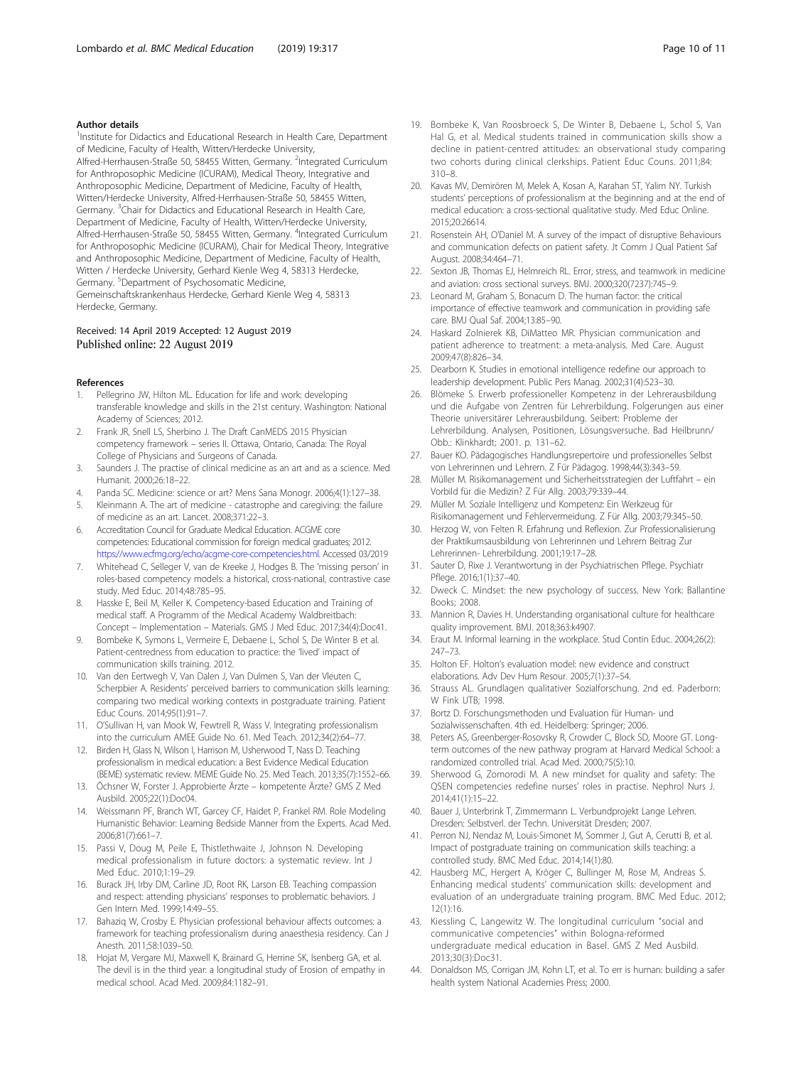#### <span id="page-9-0"></span>Author details

<sup>1</sup>Institute for Didactics and Educational Research in Health Care, Department of Medicine, Faculty of Health, Witten/Herdecke University, Alfred-Herrhausen-Straße 50, 58455 Witten, Germany. <sup>2</sup>Integrated Curriculum for Anthroposophic Medicine (ICURAM), Medical Theory, Integrative and Anthroposophic Medicine, Department of Medicine, Faculty of Health, Witten/Herdecke University, Alfred-Herrhausen-Straße 50, 58455 Witten, Germany. <sup>3</sup>Chair for Didactics and Educational Research in Health Care, Department of Medicine, Faculty of Health, Witten/Herdecke University, Alfred-Herrhausen-Straße 50, 58455 Witten, Germany. <sup>4</sup>Integrated Curriculum for Anthroposophic Medicine (ICURAM), Chair for Medical Theory, Integrative and Anthroposophic Medicine, Department of Medicine, Faculty of Health, Witten / Herdecke University, Gerhard Kienle Weg 4, 58313 Herdecke, Germany. <sup>5</sup>Department of Psychosomatic Medicine, Gemeinschaftskrankenhaus Herdecke, Gerhard Kienle Weg 4, 58313

Herdecke, Germany.

# Received: 14 April 2019 Accepted: 12 August 2019 Published online: 22 August 2019

#### References

- 1. Pellegrino JW, Hilton ML. Education for life and work: developing transferable knowledge and skills in the 21st century. Washington: National Academy of Sciences; 2012.
- 2. Frank JR, Snell LS, Sherbino J. The Draft CanMEDS 2015 Physician competency framework – series II. Ottawa, Ontario, Canada: The Royal College of Physicians and Surgeons of Canada.
- 3. Saunders J. The practise of clinical medicine as an art and as a science. Med Humanit. 2000;26:18–22.
- 4. Panda SC. Medicine: science or art? Mens Sana Monogr. 2006;4(1):127–38.
- 5. Kleinmann A. The art of medicine catastrophe and caregiving: the failure of medicine as an art. Lancet. 2008;371:22–3.
- 6. Accreditation Council for Graduate Medical Education. ACGME core competencies: Educational commission for foreign medical graduates; 2012. [https://www.ecfmg.org/echo/acgme-core-competencies.html.](https://www.ecfmg.org/echo/acgme-core-competencies.html) Accessed 03/2019
- 7. Whitehead C, Selleger V, van de Kreeke J, Hodges B. The 'missing person' in roles-based competency models: a historical, cross-national, contrastive case study. Med Educ. 2014;48:785–95.
- 8. Hasske E, Beil M, Keller K. Competency-based Education and Training of medical staff. A Programm of the Medical Academy Waldbreitbach: Concept – Implementation – Materials. GMS J Med Educ. 2017;34(4):Doc41.
- 9. Bombeke K, Symons L, Vermeire E, Debaene L, Schol S, De Winter B et al. Patient-centredness from education to practice: the 'lived' impact of communication skills training. 2012.
- 10. Van den Eertwegh V, Van Dalen J, Van Dulmen S, Van der Vleuten C, Scherpbier A. Residents' perceived barriers to communication skills learning: comparing two medical working contexts in postgraduate training. Patient Educ Couns. 2014;95(1):91–7.
- 11. O'Sullivan H, van Mook W, Fewtrell R, Wass V. Integrating professionalism into the curriculum AMEE Guide No. 61. Med Teach. 2012;34(2):64–77.
- 12. Birden H, Glass N, Wilson I, Harrison M, Usherwood T, Nass D. Teaching professionalism in medical education: a Best Evidence Medical Education (BEME) systematic review. MEME Guide No. 25. Med Teach. 2013;35(7):1552–66.
- 13. Öchsner W, Forster J. Approbierte Ärzte kompetente Ärzte? GMS Z Med Ausbild. 2005;22(1):Doc04.
- 14. Weissmann PF, Branch WT, Garcey CF, Haidet P, Frankel RM. Role Modeling Humanistic Behavior: Learning Bedside Manner from the Experts. Acad Med. 2006;81(7):661–7.
- 15. Passi V, Doug M, Peile E, Thistlethwaite J, Johnson N. Developing medical professionalism in future doctors: a systematic review. Int J Med Educ. 2010;1:19–29.
- 16. Burack JH, Irby DM, Carline JD, Root RK, Larson EB. Teaching compassion and respect: attending physicians' responses to problematic behaviors. J Gen Intern Med. 1999;14:49–55.
- 17. Bahaziq W, Crosby E. Physician professional behaviour affects outcomes: a framework for teaching professionalism during anaesthesia residency. Can J Anesth. 2011;58:1039–50.
- 18. Hojat M, Vergare MJ, Maxwell K, Brainard G, Herrine SK, Isenberg GA, et al. The devil is in the third year: a longitudinal study of Erosion of empathy in medical school. Acad Med. 2009;84:1182–91.
- 19. Bombeke K, Van Roosbroeck S, De Winter B, Debaene L, Schol S, Van Hal G, et al. Medical students trained in communication skills show a decline in patient-centred attitudes: an observational study comparing two cohorts during clinical clerkships. Patient Educ Couns. 2011;84: 310–8.
- 20. Kavas MV, Demirören M, Melek A, Kosan A, Karahan ST, Yalim NY. Turkish students' perceptions of professionalism at the beginning and at the end of medical education: a cross-sectional qualitative study. Med Educ Online. 2015;20:26614.
- 21. Rosenstein AH, O'Daniel M. A survey of the impact of disruptive Behaviours and communication defects on patient safety. Jt Comm J Qual Patient Saf August. 2008;34:464–71.
- 22. Sexton JB, Thomas EJ, Helmreich RL. Error, stress, and teamwork in medicine and aviation: cross sectional surveys. BMJ. 2000;320(7237):745–9.
- 23. Leonard M, Graham S, Bonacum D. The human factor: the critical importance of effective teamwork and communication in providing safe care. BMJ Qual Saf. 2004;13:85–90.
- 24. Haskard Zolnierek KB, DiMatteo MR. Physician communication and patient adherence to treatment: a meta-analysis. Med Care. August 2009;47(8):826–34.
- 25. Dearborn K. Studies in emotional intelligence redefine our approach to leadership development. Public Pers Manag. 2002;31(4):523–30.
- 26. Blömeke S. Erwerb professioneller Kompetenz in der Lehrerausbildung und die Aufgabe von Zentren für Lehrerbildung. Folgerungen aus einer Theorie universitärer Lehrerausbildung. Seibert: Probleme der Lehrerbildung. Analysen, Positionen, Lösungsversuche. Bad Heilbrunn/ Obb.: Klinkhardt; 2001. p. 131–62.
- 27. Bauer KO. Pädagogisches Handlungsrepertoire und professionelles Selbst von Lehrerinnen und Lehrern. Z Für Pädagog. 1998;44(3):343–59.
- 28. Müller M. Risikomanagement und Sicherheitsstrategien der Luftfahrt ein Vorbild für die Medizin? Z Für Allg. 2003;79:339–44.
- 29. Müller M. Soziale Intelligenz und Kompetenz: Ein Werkzeug für Risikomanagement und Fehlervermeidung. Z Für Allg. 2003;79:345–50.
- 30. Herzog W, von Felten R. Erfahrung und Reflexion. Zur Professionalisierung der Praktikumsausbildung von Lehrerinnen und Lehrern Beitrag Zur Lehrerinnen- Lehrerbildung. 2001;19:17–28.
- 31. Sauter D, Rixe J. Verantwortung in der Psychiatrischen Pflege. Psychiatr Pflege. 2016;1(1):37–40.
- 32. Dweck C. Mindset: the new psychology of success. New York: Ballantine Books; 2008.
- 33. Mannion R, Davies H. Understanding organisational culture for healthcare quality improvement. BMJ. 2018;363:k4907.
- Eraut M. Informal learning in the workplace. Stud Contin Educ. 2004;26(2): 247–73.
- 35. Holton EF. Holton's evaluation model: new evidence and construct elaborations. Adv Dev Hum Resour. 2005;7(1):37–54.
- Strauss AL. Grundlagen qualitativer Sozialforschung. 2nd ed. Paderborn: W Fink UTB; 1998.
- 37. Bortz D. Forschungsmethoden und Evaluation für Human- und Sozialwissenschaften. 4th ed. Heidelberg: Springer; 2006.
- 38. Peters AS, Greenberger-Rosovsky R, Crowder C, Block SD, Moore GT. Longterm outcomes of the new pathway program at Harvard Medical School: a randomized controlled trial. Acad Med. 2000;75(5):10.
- 39. Sherwood G, Zomorodi M. A new mindset for quality and safety: The QSEN competencies redefine nurses' roles in practise. Nephrol Nurs J. 2014;41(1):15–22.
- 40. Bauer J, Unterbrink T, Zimmermann L. Verbundprojekt Lange Lehren. Dresden: Selbstverl. der Techn. Universität Dresden; 2007.
- 41. Perron NJ, Nendaz M, Louis-Simonet M, Sommer J, Gut A, Cerutti B, et al. Impact of postgraduate training on communication skills teaching: a controlled study. BMC Med Educ. 2014;14(1):80.
- 42. Hausberg MC, Hergert A, Kröger C, Bullinger M, Rose M, Andreas S. Enhancing medical students' communication skills: development and evaluation of an undergraduate training program. BMC Med Educ. 2012; 12(1):16.
- 43. Kiessling C, Langewitz W. The longitudinal curriculum "social and communicative competencies" within Bologna-reformed undergraduate medical education in Basel. GMS Z Med Ausbild. 2013;30(3):Doc31.
- 44. Donaldson MS, Corrigan JM, Kohn LT, et al. To err is human: building a safer health system National Academies Press; 2000.